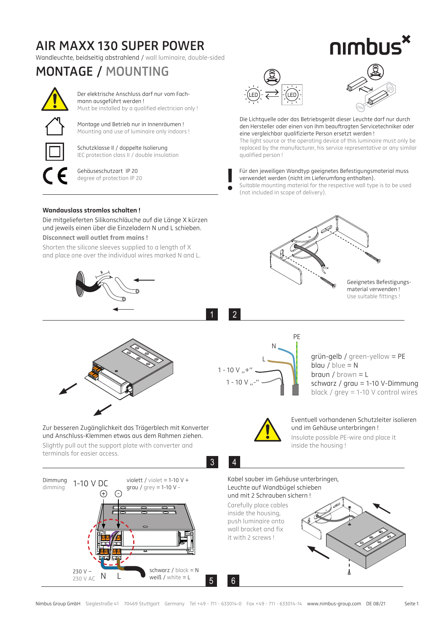## **AIR MAXX 130 SUPER POWER**

Wandleuchte, beidseitig abstrahlend / wall luminaire, double-sided

## **MONTAGE / MOUNTING**



Der elektrische Anschluss darf nur vom Fachmann ausgeführt werden ! Must be installed by a qualified electrician only !

Montage und Betrieb nur in Innenräumen ! Mounting and use of luminaire only indoors !



Schutzklasse II / doppelte Isolierung IEC protection class II / double insulation

Gehäuseschutzart IP 20 degree of protection IP 20





nımbus

Die Lichtquelle oder das Betriebsgerät dieser Leuchte darf nur durch den Hersteller oder einen von ihm beauftragten Servicetechniker oder eine vergleichbar qualifizierte Person ersetzt werden !

The light source or the operating device of this luminaire must only be replaced by the manufacturer, his service representative or any similar qualified person !

Für den jeweiligen Wandtyp geeignetes Befestigungsmaterial muss verwendet werden (nicht im Lieferumfang enthalten). Für den jeweiligen Wandtyp geeig<br>verwendet werden (nicht im Liefer<br>Suitable mounting material for the<br>(not included in scope of delivery).

Suitable mounting material for the respective wall type is to be used

#### **Wandauslass stromlos schalten !**

Die mitgelieferten Silikonschläuche auf die Länge X kürzen und jeweils einen über die Einzeladern N und L schieben.

### **Disconnect wall outlet from mains !**

Shorten the silicone sleeves supplied to a length of X and place one over the individual wires marked N and L.







N L  $-10 V +$  $1 - 10$  V  $-$ 

1 2

PE

grün-gelb / green-yellow = PE  $blau / blue = N$ braun / brown = L schwarz / grau = 1-10 V-Dimmung black / grey = 1-10 V control wires



#### Eventuell vorhandenen Schutzleiter isolieren und im Gehäuse unterbringen !

Insulate possible PE-wire and place it inside the housing !

Zur besseren Zugänglichkeit das Trägerblech mit Konverter und Anschluss-Klemmen etwas aus dem Rahmen ziehen. Slightly pull out the support plate with converter and

terminals for easier access.



Kabel sauber im Gehäuse unterbringen, Leuchte auf Wandbügel schieben und mit 2 Schrauben sichern !

Carefully place cables inside the housing, push luminaire onto wall bracket and fix it with 2 screws !



3 4